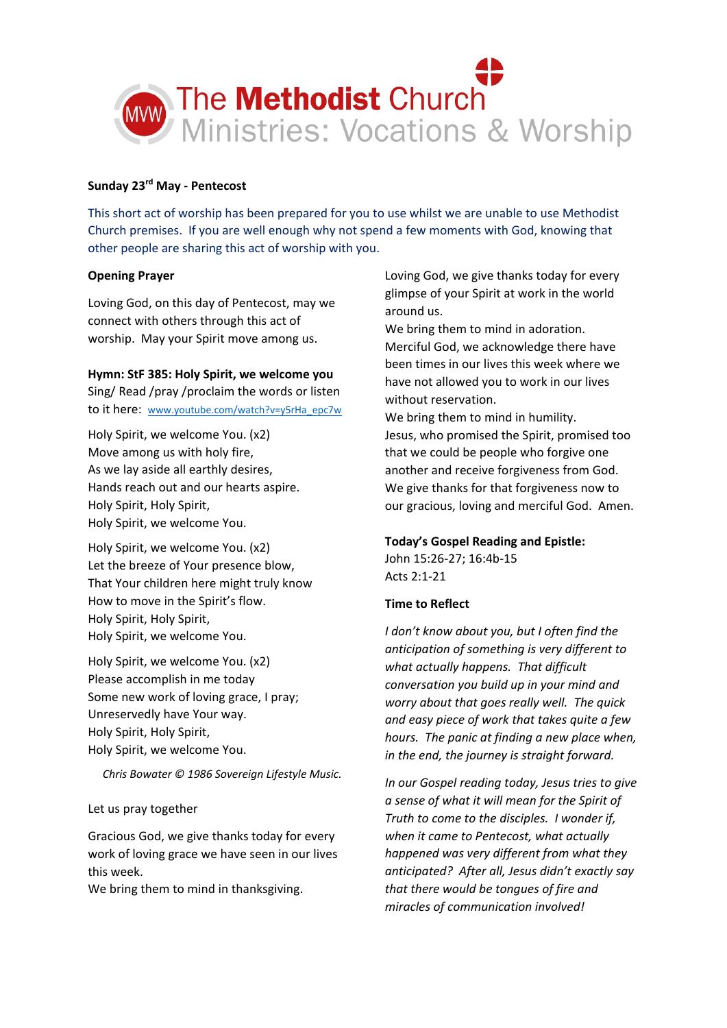

## **Sunday 23rd May - Pentecost**

This short act of worship has been prepared for you to use whilst we are unable to use Methodist Church premises. If you are well enough why not spend a few moments with God, knowing that other people are sharing this act of worship with you.

## **Opening Prayer**

Loving God, on this day of Pentecost, may we connect with others through this act of worship. May your Spirit move among us.

## **Hymn: StF 385: Holy Spirit, we welcome you**

Sing/ Read /pray /proclaim the words or listen to it here: [www.youtube.com/watch?v=y5rHa\\_epc7w](http://www.youtube.com/watch?v=y5rHa_epc7w)

Holy Spirit, we welcome You. (x2) Move among us with holy fire, As we lay aside all earthly desires, Hands reach out and our hearts aspire. Holy Spirit, Holy Spirit, Holy Spirit, we welcome You.

Holy Spirit, we welcome You. (x2) Let the breeze of Your presence blow, That Your children here might truly know How to move in the Spirit's flow. Holy Spirit, Holy Spirit, Holy Spirit, we welcome You.

Holy Spirit, we welcome You. (x2) Please accomplish in me today Some new work of loving grace, I pray; Unreservedly have Your way. Holy Spirit, Holy Spirit, Holy Spirit, we welcome You.

*Chris Bowater © 1986 Sovereign Lifestyle Music.*

## Let us pray together

Gracious God, we give thanks today for every work of loving grace we have seen in our lives this week.

We bring them to mind in thanksgiving.

Loving God, we give thanks today for every glimpse of your Spirit at work in the world around us.

We bring them to mind in adoration. Merciful God, we acknowledge there have been times in our lives this week where we have not allowed you to work in our lives without reservation.

We bring them to mind in humility. Jesus, who promised the Spirit, promised too that we could be people who forgive one another and receive forgiveness from God. We give thanks for that forgiveness now to our gracious, loving and merciful God. Amen.

## **Today's Gospel Reading and Epistle:**

John 15:26-27; 16:4b-15 Acts 2:1-21

## **Time to Reflect**

*I don't know about you, but I often find the anticipation of something is very different to what actually happens. That difficult conversation you build up in your mind and worry about that goes really well. The quick and easy piece of work that takes quite a few hours. The panic at finding a new place when, in the end, the journey is straight forward.*

*In our Gospel reading today, Jesus tries to give a sense of what it will mean for the Spirit of Truth to come to the disciples. I wonder if, when it came to Pentecost, what actually happened was very different from what they anticipated? After all, Jesus didn't exactly say that there would be tongues of fire and miracles of communication involved!*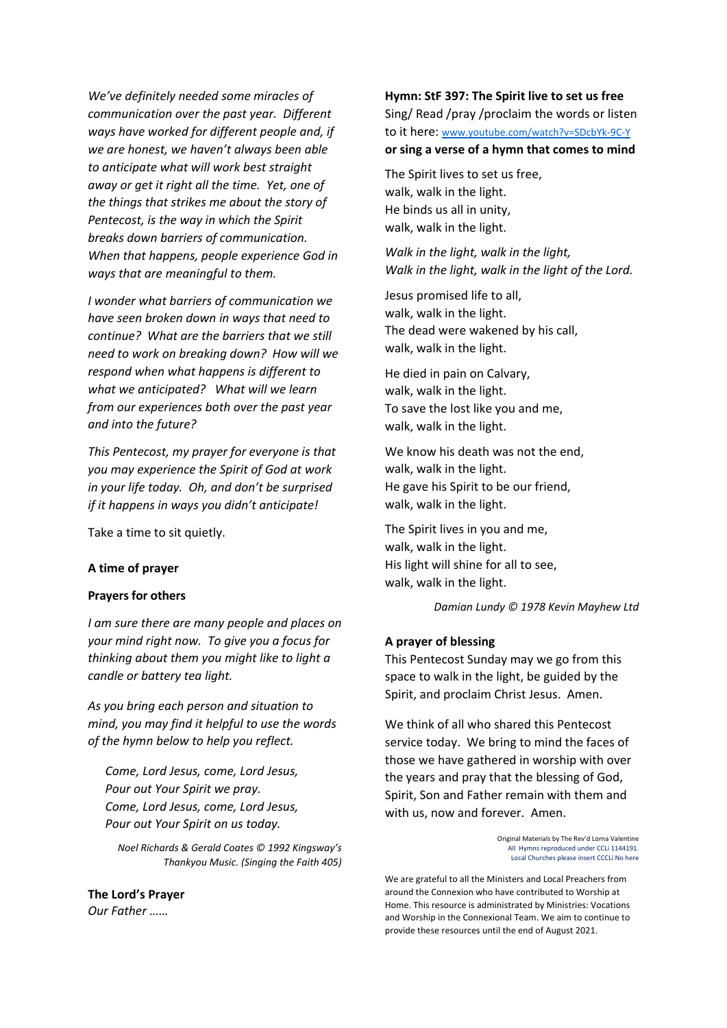*We've definitely needed some miracles of communication over the past year. Different ways have worked for different people and, if we are honest, we haven't always been able to anticipate what will work best straight away or get it right all the time. Yet, one of the things that strikes me about the story of Pentecost, is the way in which the Spirit breaks down barriers of communication. When that happens, people experience God in ways that are meaningful to them.* 

*I wonder what barriers of communication we have seen broken down in ways that need to continue? What are the barriers that we still need to work on breaking down? How will we respond when what happens is different to what we anticipated? What will we learn from our experiences both over the past year and into the future?*

*This Pentecost, my prayer for everyone is that you may experience the Spirit of God at work in your life today. Oh, and don't be surprised if it happens in ways you didn't anticipate!*

Take a time to sit quietly.

### **A time of prayer**

### **Prayers for others**

*I am sure there are many people and places on your mind right now. To give you a focus for thinking about them you might like to light a candle or battery tea light.*

*As you bring each person and situation to mind, you may find it helpful to use the words of the hymn below to help you reflect.*

*Come, Lord Jesus, come, Lord Jesus, Pour out Your Spirit we pray. Come, Lord Jesus, come, Lord Jesus, Pour out Your Spirit on us today.*

*Noel Richards & Gerald Coates © 1992 Kingsway's Thankyou Music. (Singing the Faith 405)*

## **The Lord's Prayer**

*Our Father ……*

# **Hymn: StF 397: The Spirit live to set us free** Sing/ Read /pray /proclaim the words or listen to it here: [www.youtube.com/watch?v=SDcbYk-9C-Y](http://www.youtube.com/watch?v=SDcbYk-9C-Y) **or sing a verse of a hymn that comes to mind**

The Spirit lives to set us free, walk, walk in the light. He binds us all in unity, walk, walk in the light.

*Walk in the light, walk in the light, Walk in the light, walk in the light of the Lord.*

Jesus promised life to all, walk, walk in the light. The dead were wakened by his call, walk, walk in the light.

He died in pain on Calvary, walk, walk in the light. To save the lost like you and me, walk, walk in the light.

We know his death was not the end, walk, walk in the light. He gave his Spirit to be our friend, walk, walk in the light.

The Spirit lives in you and me, walk, walk in the light. His light will shine for all to see, walk, walk in the light.

*Damian Lundy © 1978 Kevin Mayhew Ltd*

### **A prayer of blessing**

This Pentecost Sunday may we go from this space to walk in the light, be guided by the Spirit, and proclaim Christ Jesus. Amen.

We think of all who shared this Pentecost service today. We bring to mind the faces of those we have gathered in worship with over the years and pray that the blessing of God, Spirit, Son and Father remain with them and with us, now and forever. Amen.

> Original Materials by The Rev'd Lorna Valentine All Hymns reproduced under CCLi 1144191. Local Churches please insert CCCLi No here

We are grateful to all the Ministers and Local Preachers from around the Connexion who have contributed to Worship at Home. This resource is administrated by Ministries: Vocations and Worship in the Connexional Team. We aim to continue to provide these resources until the end of August 2021.